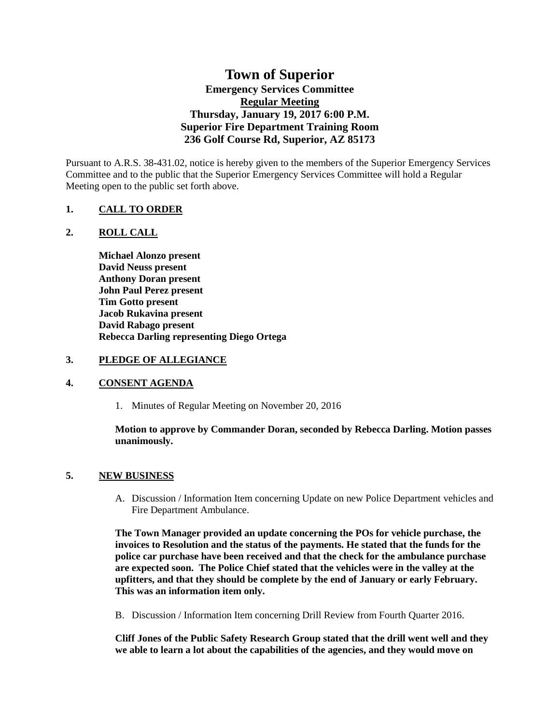# **Town of Superior Emergency Services Committee Regular Meeting Thursday, January 19, 2017 6:00 P.M. Superior Fire Department Training Room 236 Golf Course Rd, Superior, AZ 85173**

Pursuant to A.R.S. 38-431.02, notice is hereby given to the members of the Superior Emergency Services Committee and to the public that the Superior Emergency Services Committee will hold a Regular Meeting open to the public set forth above.

# **1. CALL TO ORDER**

# **2. ROLL CALL**

**Michael Alonzo present David Neuss present Anthony Doran present John Paul Perez present Tim Gotto present Jacob Rukavina present David Rabago present Rebecca Darling representing Diego Ortega**

#### **3. PLEDGE OF ALLEGIANCE**

# **4. CONSENT AGENDA**

1. Minutes of Regular Meeting on November 20, 2016

# **Motion to approve by Commander Doran, seconded by Rebecca Darling. Motion passes unanimously.**

# **5. NEW BUSINESS**

A. Discussion / Information Item concerning Update on new Police Department vehicles and Fire Department Ambulance.

**The Town Manager provided an update concerning the POs for vehicle purchase, the invoices to Resolution and the status of the payments. He stated that the funds for the police car purchase have been received and that the check for the ambulance purchase are expected soon. The Police Chief stated that the vehicles were in the valley at the upfitters, and that they should be complete by the end of January or early February. This was an information item only.**

B. Discussion / Information Item concerning Drill Review from Fourth Quarter 2016.

**Cliff Jones of the Public Safety Research Group stated that the drill went well and they we able to learn a lot about the capabilities of the agencies, and they would move on**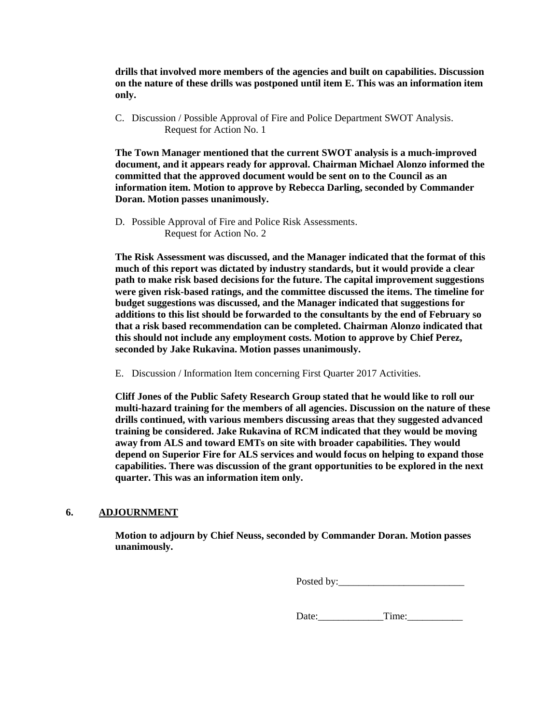**drills that involved more members of the agencies and built on capabilities. Discussion on the nature of these drills was postponed until item E. This was an information item only.**

C. Discussion / Possible Approval of Fire and Police Department SWOT Analysis. Request for Action No. 1

**The Town Manager mentioned that the current SWOT analysis is a much-improved document, and it appears ready for approval. Chairman Michael Alonzo informed the committed that the approved document would be sent on to the Council as an information item. Motion to approve by Rebecca Darling, seconded by Commander Doran. Motion passes unanimously.**

D. Possible Approval of Fire and Police Risk Assessments. Request for Action No. 2

**The Risk Assessment was discussed, and the Manager indicated that the format of this much of this report was dictated by industry standards, but it would provide a clear path to make risk based decisions for the future. The capital improvement suggestions were given risk-based ratings, and the committee discussed the items. The timeline for budget suggestions was discussed, and the Manager indicated that suggestions for additions to this list should be forwarded to the consultants by the end of February so that a risk based recommendation can be completed. Chairman Alonzo indicated that this should not include any employment costs. Motion to approve by Chief Perez, seconded by Jake Rukavina. Motion passes unanimously.** 

E. Discussion / Information Item concerning First Quarter 2017 Activities.

**Cliff Jones of the Public Safety Research Group stated that he would like to roll our multi-hazard training for the members of all agencies. Discussion on the nature of these drills continued, with various members discussing areas that they suggested advanced training be considered. Jake Rukavina of RCM indicated that they would be moving away from ALS and toward EMTs on site with broader capabilities. They would depend on Superior Fire for ALS services and would focus on helping to expand those capabilities. There was discussion of the grant opportunities to be explored in the next quarter. This was an information item only.**

# **6. ADJOURNMENT**

**Motion to adjourn by Chief Neuss, seconded by Commander Doran. Motion passes unanimously.** 

Posted by:\_\_\_\_\_\_\_\_\_\_\_\_\_\_\_\_\_\_\_\_\_\_\_\_\_

Date: Time: